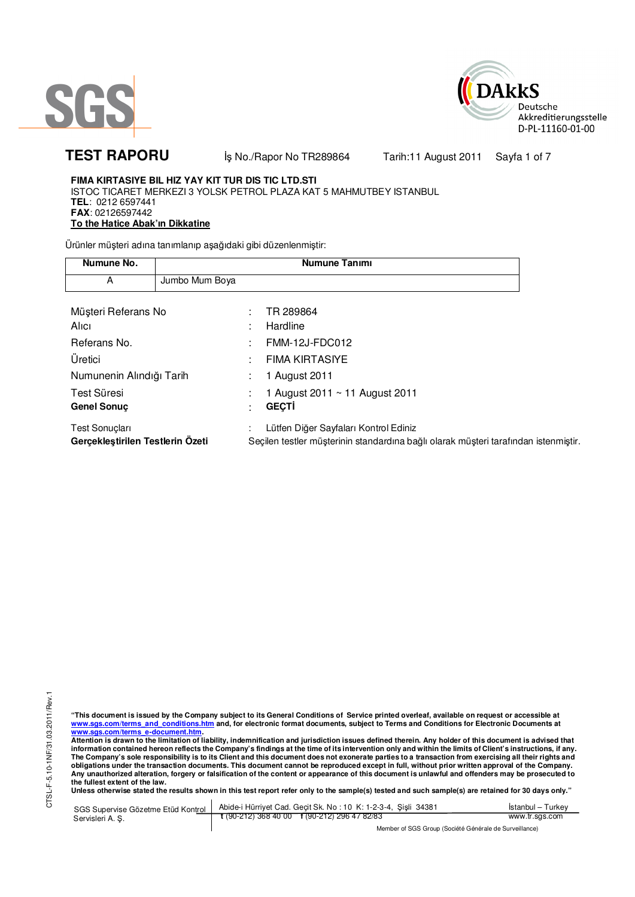



TEST RAPORU **By No./Rapor No TR289864** Tarih:11 August 2011 Sayfa 1 of 7

## **FIMA KIRTASIYE BIL HIZ YAY KIT TUR DIS TIC LTD.STI**  ISTOC TICARET MERKEZI 3 YOLSK PETROL PLAZA KAT 5 MAHMUTBEY ISTANBUL **TEL**: 0212 6597441 **FAX**: 02126597442 **To the Hatice Abak'ın Dikkatine**

Ürünler müşteri adına tanımlanıp aşağıdaki gibi düzenlenmiştir:

| Numune No.                                         |                |                   | <b>Numune Tanımı</b>                                                                                                         |  |
|----------------------------------------------------|----------------|-------------------|------------------------------------------------------------------------------------------------------------------------------|--|
| A                                                  | Jumbo Mum Boya |                   |                                                                                                                              |  |
|                                                    |                |                   |                                                                                                                              |  |
| Müşteri Referans No                                |                | ٠                 | TR 289864                                                                                                                    |  |
| Alici                                              |                | ٠                 | Hardline                                                                                                                     |  |
| Referans No.                                       |                |                   | <b>FMM-12J-FDC012</b>                                                                                                        |  |
| Üretici                                            |                |                   | <b>FIMA KIRTASIYE</b>                                                                                                        |  |
| Numunenin Alındığı Tarih                           |                | ٠<br>$\mathbf{r}$ | 1 August 2011                                                                                                                |  |
| Test Süresi                                        |                |                   | 1 August 2011 ~ 11 August 2011                                                                                               |  |
| <b>Genel Sonuc</b>                                 |                | ٠                 | <b>GECTI</b>                                                                                                                 |  |
| Test Sonuçları<br>Gerçekleştirilen Testlerin Özeti |                |                   | Lütfen Diğer Sayfaları Kontrol Ediniz<br>Seçilen testler müşterinin standardına bağlı olarak müşteri tarafından istenmiştir. |  |

"This document is issued by the Company subject to its General Conditions of Service printed overleaf, available on request or accessible at<br>www.sgs.com/terms\_and\_conditions.htm\_and, for electronic format documents, subjec

<u>www.sgs.com/terms\_e-document.htm</u>.<br>Attention is drawn to the limitation of liability, indemnification and jurisdiction issues defined therein. Any holder of this document is advised that information contained hereon reflects the Company's findings at the time of its intervention only and within the limits of Client's instructions, if any.<br>The Company's sole responsibility is to its Client and this document **obligations under the transaction documents. This document cannot be reproduced except in full, without prior written approval of the Company. Any unauthorized alteration, forgery or falsification of the content or appearance of this document is unlawful and offenders may be prosecuted to the fullest extent of the law.** 

Unless otherwise stated the results shown in this test report refer only to the sample(s) tested and such sample(s) are retained for 30 days only."

| SGS Supervise Gözetme Etüd Kontrol | Abide-i Hürriyet Cad. Gecit Sk. No: 10 K: 1-2-3-4, Sisli 34381 | Istanbul - Turkev |
|------------------------------------|----------------------------------------------------------------|-------------------|
| Servisleri A. S.                   | $\frac{1}{2}$ (90-212) 368 40 00 f (90-212) 296 47 82/83       | www.tr.sgs.com    |
|                                    | Member of SGS Group (Société Générale de Surveillance)         |                   |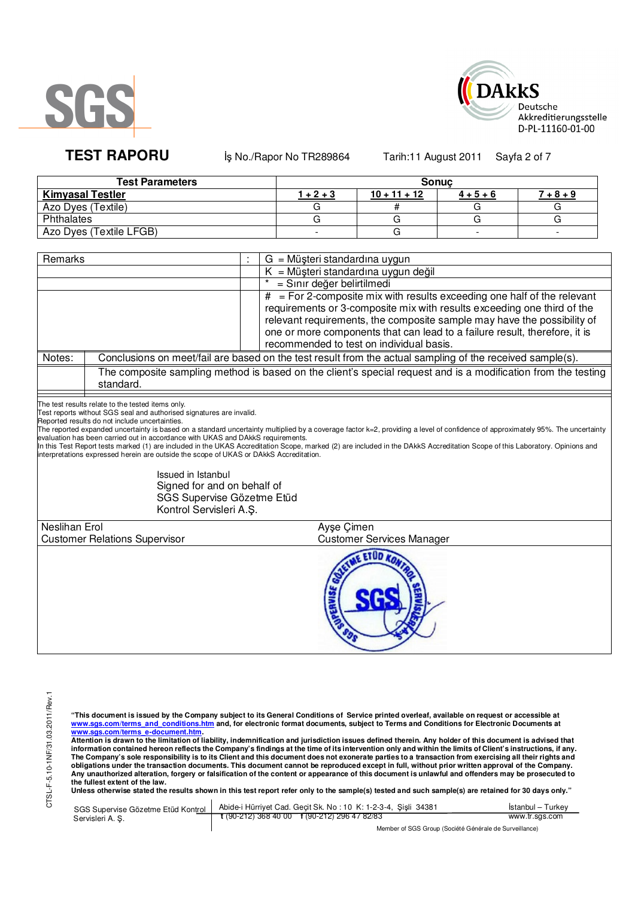



TEST RAPORU **By No./Rapor No TR289864** Tarih:11 August 2011 Sayfa 2 of 7

| <b>Test Parameters</b>  | <b>Sonuc</b> |                |             |             |  |  |
|-------------------------|--------------|----------------|-------------|-------------|--|--|
| <b>Kimyasal Testler</b> | 1 + 2 + 3    | $10 + 11 + 12$ | $4 + 5 + 6$ | $7 + 8 + 9$ |  |  |
| Azo Dyes (Textile)      |              |                |             |             |  |  |
| Phthalates              |              |                |             |             |  |  |
| Azo Dyes (Textile LFGB) |              |                |             |             |  |  |

| Remarks              |                                                                                                                                                                                                                                                                                                                                                                                                                                                                        | $G = M\ddot{\mu}$ şteri standardına uygun                                                                                                                                                                                                                                                                                                                       |
|----------------------|------------------------------------------------------------------------------------------------------------------------------------------------------------------------------------------------------------------------------------------------------------------------------------------------------------------------------------------------------------------------------------------------------------------------------------------------------------------------|-----------------------------------------------------------------------------------------------------------------------------------------------------------------------------------------------------------------------------------------------------------------------------------------------------------------------------------------------------------------|
|                      |                                                                                                                                                                                                                                                                                                                                                                                                                                                                        | $K = M\ddot{\mu}$ şteri standardına uygun değil                                                                                                                                                                                                                                                                                                                 |
|                      |                                                                                                                                                                                                                                                                                                                                                                                                                                                                        | = Sınır değer belirtilmedi                                                                                                                                                                                                                                                                                                                                      |
|                      |                                                                                                                                                                                                                                                                                                                                                                                                                                                                        | $#$ = For 2-composite mix with results exceeding one half of the relevant<br>requirements or 3-composite mix with results exceeding one third of the<br>relevant requirements, the composite sample may have the possibility of<br>one or more components that can lead to a failure result, therefore, it is<br>recommended to test on individual basis.       |
| Notes:               |                                                                                                                                                                                                                                                                                                                                                                                                                                                                        | Conclusions on meet/fail are based on the test result from the actual sampling of the received sample(s).                                                                                                                                                                                                                                                       |
|                      | standard.                                                                                                                                                                                                                                                                                                                                                                                                                                                              | The composite sampling method is based on the client's special request and is a modification from the testing                                                                                                                                                                                                                                                   |
|                      | The test results relate to the tested items only.<br>Test reports without SGS seal and authorised signatures are invalid.<br>Reported results do not include uncertainties.<br>evaluation has been carried out in accordance with UKAS and DAkkS requirements.<br>interpretations expressed herein are outside the scope of UKAS or DAkkS Accreditation.<br>Issued in Istanbul<br>Signed for and on behalf of<br>SGS Supervise Gözetme Etüd<br>Kontrol Servisleri A.Ş. | The reported expanded uncertainty is based on a standard uncertainty multiplied by a coverage factor k=2, providing a level of confidence of approximately 95%. The uncertainty<br>In this Test Report tests marked (1) are included in the UKAS Accreditation Scope, marked (2) are included in the DAkkS Accreditation Scope of this Laboratory. Opinions and |
| <b>Neslihan Erol</b> |                                                                                                                                                                                                                                                                                                                                                                                                                                                                        | Ayse Cimen                                                                                                                                                                                                                                                                                                                                                      |
|                      | <b>Customer Relations Supervisor</b>                                                                                                                                                                                                                                                                                                                                                                                                                                   | <b>Customer Services Manager</b>                                                                                                                                                                                                                                                                                                                                |
|                      |                                                                                                                                                                                                                                                                                                                                                                                                                                                                        | <b>SE ETUD</b><br>pERVISE                                                                                                                                                                                                                                                                                                                                       |

"This document is issued by the Company subject to its General Conditions of Service printed overleaf, available on request or accessible at<br>www.sgs.com/terms\_and\_conditions.htm\_and, for electronic format documents, subjec

<u>www.sgs.com/terms\_e-document.htm.</u><br>Attention is drawn to the limitation of liability, indemnification and jurisdiction issues defined therein. Any holder of this document is advised that<br>information contained hereon refle obligations under the transaction documents. This document cannot be reproduced except in full, without prior written approval of the Company.<br>Any unauthorized alteration, forgery or falsification of the content or appeara

**Unless otherwise stated the results shown in this test report refer only to the sample(s) tested and such sample(s) are retained for 30 days only."** 

| SGS Supervise Gözetme Etüd Kontrol | Abide-i Hürrivet Cad. Gecit Sk. No: 10 K: 1-2-3-4, Sisli 34381 | <b>Istanbul</b> - Turkey |
|------------------------------------|----------------------------------------------------------------|--------------------------|
| Servisleri A. S.                   | $\frac{1}{2}$ (90-212) 368 40 00 f (90-212) 296 47 82/83       | www.tr.sgs.com           |
|                                    | $111100000101100111011$                                        |                          |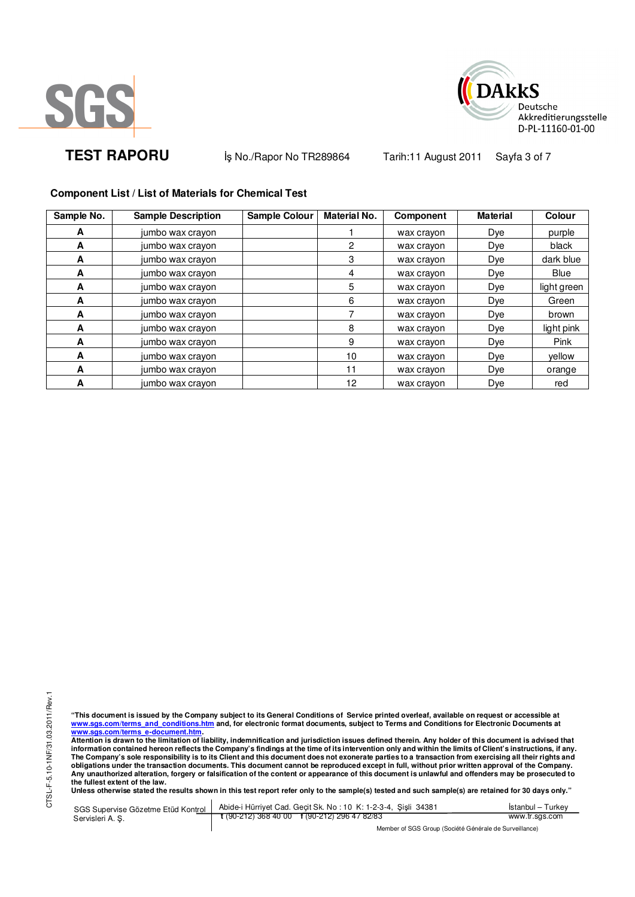



**TEST RAPORU** iş No./Rapor No TR289864 Tarih:11 August 2011 Sayfa 3 of 7

## **Component List / List of Materials for Chemical Test**

| Sample No. | <b>Sample Description</b> | Sample Colour | <b>Material No.</b> | Component  | <b>Material</b> | Colour      |
|------------|---------------------------|---------------|---------------------|------------|-----------------|-------------|
| A          | jumbo wax crayon          |               |                     | wax crayon | Dye             | purple      |
| A          | jumbo wax crayon          |               | $\overline{2}$      | wax crayon | Dye             | black       |
| A          | jumbo wax crayon          |               | 3                   | wax crayon | Dye             | dark blue   |
| A          | jumbo wax crayon          |               | 4                   | wax crayon | Dye             | Blue        |
| A          | jumbo wax crayon          |               | 5                   | wax crayon | Dye             | light green |
| A          | jumbo wax crayon          |               | 6                   | wax crayon | Dye             | Green       |
| A          | jumbo wax crayon          |               |                     | wax crayon | Dye             | brown       |
| A          | jumbo wax crayon          |               | 8                   | wax crayon | Dye             | light pink  |
| A          | jumbo wax crayon          |               | 9                   | wax crayon | Dye             | Pink        |
| A          | jumbo wax crayon          |               | 10                  | wax crayon | Dye             | vellow      |
| A          | jumbo wax crayon          |               | 11                  | wax crayon | Dye             | orange      |
| A          | jumbo wax crayon          |               | 12                  | wax crayon | Dye             | red         |

CTSL-F-5.10-1NF/31.03.2011/Rev.1 CTSL-F-5.10-1NF/31.03.2011/Rev.1

"This document is issued by the Company subject to its General Conditions of Service printed overleaf, available on request or accessible at<br>www.sgs.com/terms\_and\_conditions.htm\_and, for electronic format documents, subjec <u>www.sgs.com/terms\_e-document.htm</u>.<br>Attention is drawn to the limitation of liability, indemnification and jurisdiction issues defined therein. Any holder of this document is advised that

information contained hereon reflects the Company's findings at the time of its intervention only and within the limits of Client's instructions, if any.<br>The Company's sole responsibility is to its Client and this document **obligations under the transaction documents. This document cannot be reproduced except in full, without prior written approval of the Company. Any unauthorized alteration, forgery or falsification of the content or appearance of this document is unlawful and offenders may be prosecuted to the fullest extent of the law.** 

**Unless otherwise stated the results shown in this test report refer only to the sample(s) tested and such sample(s) are retained for 30 days only."** 

SGS Supervise Gözetme Etüd Kontrol Servisleri A. Ş. Abide-i Hürriyet Cad. Geçit Sk. No : 10 K: 1-2-3-4, Şişli 34381 **t** (90-212) 368 40 00 **f** (90-212) 296 47 82/83 İstanbul – Turkey www.tr.sgs.com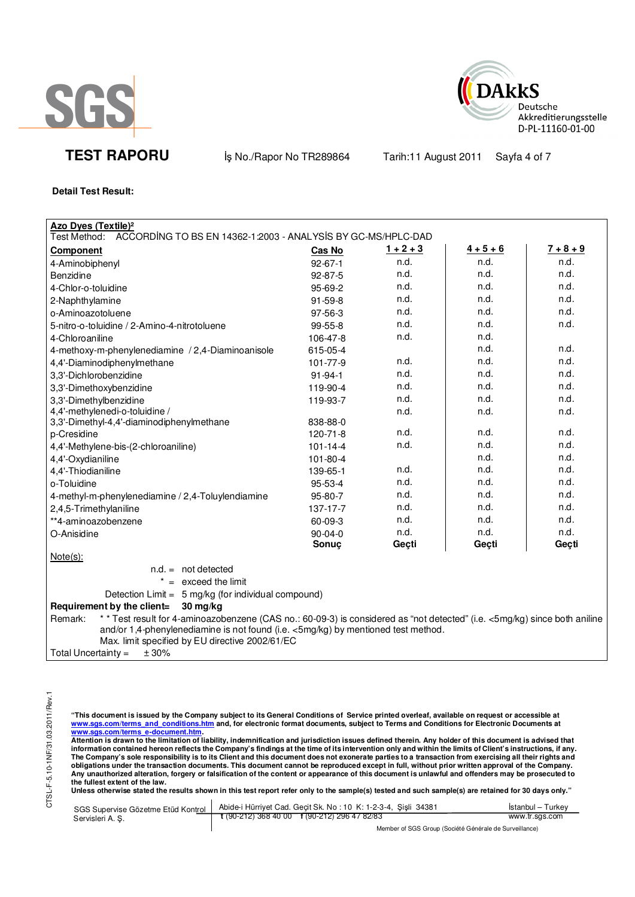



**TEST RAPORU** iş No./Rapor No TR289864 Tarih:11 August 2011 Sayfa 4 of 7

**Detail Test Result:** 

| Azo Dyes (Textile) <sup>2</sup>                                                                                                                                                                                                                                               |                |             |             |             |
|-------------------------------------------------------------------------------------------------------------------------------------------------------------------------------------------------------------------------------------------------------------------------------|----------------|-------------|-------------|-------------|
| ACCORDING TO BS EN 14362-1:2003 - ANALYSIS BY GC-MS/HPLC-DAD<br>Test Method:                                                                                                                                                                                                  |                |             |             |             |
| <b>Component</b>                                                                                                                                                                                                                                                              | <b>Cas No</b>  | $1 + 2 + 3$ | $4 + 5 + 6$ | $7 + 8 + 9$ |
| 4-Aminobiphenyl                                                                                                                                                                                                                                                               | $92 - 67 - 1$  | n.d.        | n.d.        | n.d.        |
| <b>Benzidine</b>                                                                                                                                                                                                                                                              | 92-87-5        | n.d.        | n.d.        | n.d.        |
| 4-Chlor-o-toluidine                                                                                                                                                                                                                                                           | 95-69-2        | n.d.        | n.d.        | n.d.        |
| 2-Naphthylamine                                                                                                                                                                                                                                                               | 91-59-8        | n.d.        | n.d.        | n.d.        |
| o-Aminoazotoluene                                                                                                                                                                                                                                                             | 97-56-3        | n.d.        | n.d.        | n.d.        |
| 5-nitro-o-toluidine / 2-Amino-4-nitrotoluene                                                                                                                                                                                                                                  | $99-55-8$      | n.d.        | n.d.        | n.d.        |
| 4-Chloroaniline                                                                                                                                                                                                                                                               | 106-47-8       | n.d.        | n.d.        |             |
| 4-methoxy-m-phenylenediamine / 2,4-Diaminoanisole                                                                                                                                                                                                                             | 615-05-4       |             | n.d.        | n.d.        |
| 4,4'-Diaminodiphenylmethane                                                                                                                                                                                                                                                   | 101-77-9       | n.d.        | n.d.        | n.d.        |
| 3,3'-Dichlorobenzidine                                                                                                                                                                                                                                                        | $91 - 94 - 1$  | n.d.        | n.d.        | n.d.        |
| 3,3'-Dimethoxybenzidine                                                                                                                                                                                                                                                       | 119-90-4       | n.d.        | n.d.        | n.d.        |
| 3,3'-Dimethylbenzidine                                                                                                                                                                                                                                                        | 119-93-7       | n.d.        | n.d.        | n.d.        |
| 4,4'-methylenedi-o-toluidine /                                                                                                                                                                                                                                                |                | n.d.        | n.d.        | n.d.        |
| 3,3'-Dimethyl-4,4'-diaminodiphenylmethane                                                                                                                                                                                                                                     | 838-88-0       |             |             |             |
| p-Cresidine                                                                                                                                                                                                                                                                   | $120 - 71 - 8$ | n.d.        | n.d.        | n.d.        |
| 4,4'-Methylene-bis-(2-chloroaniline)                                                                                                                                                                                                                                          | $101 - 14 - 4$ | n.d.        | n.d.        | n.d.        |
| 4,4'-Oxydianiline                                                                                                                                                                                                                                                             | 101-80-4       |             | n.d.        | n.d.        |
| 4,4'-Thiodianiline                                                                                                                                                                                                                                                            | 139-65-1       | n.d.        | n.d.        | n.d.        |
| o-Toluidine                                                                                                                                                                                                                                                                   | 95-53-4        | n.d.        | n.d.        | n.d.        |
| 4-methyl-m-phenylenediamine / 2,4-Toluylendiamine                                                                                                                                                                                                                             | 95-80-7        | n.d.        | n.d.        | n.d.        |
| 2,4,5-Trimethylaniline                                                                                                                                                                                                                                                        | 137-17-7       | n.d.        | n.d.        | n.d.        |
| **4-aminoazobenzene                                                                                                                                                                                                                                                           | 60-09-3        | n.d.        | n.d.        | n.d.        |
| O-Anisidine                                                                                                                                                                                                                                                                   | $90 - 04 - 0$  | n.d.        | n.d.        | n.d.        |
|                                                                                                                                                                                                                                                                               | Sonuç          | Geçti       | Geçti       | Geçti       |
| $Note(s)$ :                                                                                                                                                                                                                                                                   |                |             |             |             |
| $n.d. = not detected$                                                                                                                                                                                                                                                         |                |             |             |             |
| $* =$ exceed the limit                                                                                                                                                                                                                                                        |                |             |             |             |
| Detection Limit = 5 mg/kg (for individual compound)                                                                                                                                                                                                                           |                |             |             |             |
| Requirement by the client=<br>$30 \, \text{mg/kg}$                                                                                                                                                                                                                            |                |             |             |             |
| * * Test result for 4-aminoazobenzene (CAS no.: 60-09-3) is considered as "not detected" (i.e. <5mg/kg) since both aniline<br>Remark:<br>and/or 1,4-phenylenediamine is not found (i.e. <5mg/kg) by mentioned test method.<br>Max. limit specified by EU directive 2002/61/EC |                |             |             |             |
| ± 30%<br>Total Uncertainty $=$                                                                                                                                                                                                                                                |                |             |             |             |

"This document is issued by the Company subject to its General Conditions of Service printed overleaf, available on request or accessible at<br>www.sgs.com/terms\_and\_conditions.htm\_and, for electronic format documents, subjec

<u>www.sgs.com/terms\_e-document.htm</u>.<br>Attention is drawn to the limitation of liability, indemnification and jurisdiction issues defined therein. Any holder of this document is advised that information contained hereon reflects the Company's findings at the time of its intervention only and within the limits of Client's instructions, if any.<br>The Company's sole responsibility is to its Client and this document obligations under the transaction documents. This document cannot be reproduced except in full, without prior written approval of the Company.<br>Any unauthorized alteration, forgery or falsification of the content or appeara

**Unless otherwise stated the results shown in this test report refer only to the sample(s) tested and such sample(s) are retained for 30 days only."** 

|                 | SGS Supervise Gözetme Etüd Kontrol   Abide-i Hürriyet Cad. Geçit Sk. No: 10 K: 1-2-3-4, Şişli 34381 | Istanbul – Turkev |
|-----------------|-----------------------------------------------------------------------------------------------------|-------------------|
| Servisleri A.S. | $\frac{1}{2}$ (90-212) 368 40 00 f (90-212) 296 47 82/83                                            | www.tr.sgs.com    |
|                 | $111100000101100111011$                                                                             |                   |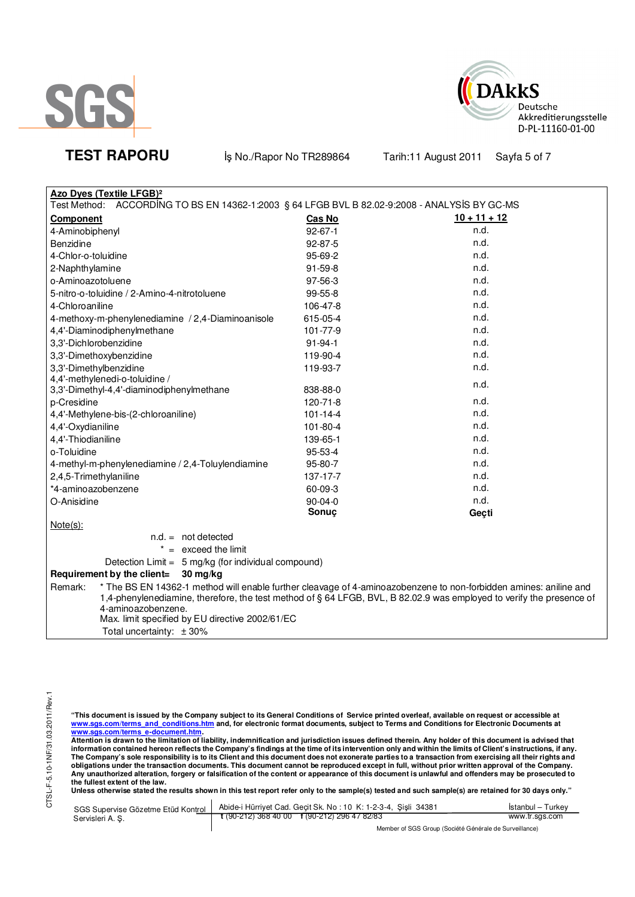



**TEST RAPORU** iş No./Rapor No TR289864 Tarih:11 August 2011 Sayfa 5 of 7

| <b>Azo Dyes (Textile LFGB)<sup>2</sup></b>                                                                           |                |                                                                                                                   |  |  |
|----------------------------------------------------------------------------------------------------------------------|----------------|-------------------------------------------------------------------------------------------------------------------|--|--|
| Test Method:<br>ACCORDING TO BS EN 14362-1:2003 § 64 LFGB BVL B 82.02-9:2008 - ANALYSIS BY GC-MS                     |                |                                                                                                                   |  |  |
| Component                                                                                                            | <b>Cas No</b>  | $10 + 11 + 12$                                                                                                    |  |  |
| 4-Aminobiphenyl                                                                                                      | $92 - 67 - 1$  | n.d.                                                                                                              |  |  |
| Benzidine                                                                                                            | $92 - 87 - 5$  | n.d.                                                                                                              |  |  |
| 4-Chlor-o-toluidine                                                                                                  | 95-69-2        | n.d.                                                                                                              |  |  |
| 2-Naphthylamine                                                                                                      | $91 - 59 - 8$  | n.d.                                                                                                              |  |  |
| o-Aminoazotoluene                                                                                                    | 97-56-3        | n.d.                                                                                                              |  |  |
| 5-nitro-o-toluidine / 2-Amino-4-nitrotoluene                                                                         | 99-55-8        | n.d.                                                                                                              |  |  |
| 4-Chloroaniline                                                                                                      | 106-47-8       | n.d.                                                                                                              |  |  |
| 4-methoxy-m-phenylenediamine / 2,4-Diaminoanisole                                                                    | 615-05-4       | n.d.                                                                                                              |  |  |
| 4,4'-Diaminodiphenylmethane                                                                                          | 101-77-9       | n.d.                                                                                                              |  |  |
| 3,3'-Dichlorobenzidine                                                                                               | $91 - 94 - 1$  | n.d.                                                                                                              |  |  |
| 3,3'-Dimethoxybenzidine                                                                                              | 119-90-4       | n.d.                                                                                                              |  |  |
| 3,3'-Dimethylbenzidine                                                                                               | 119-93-7       | n.d.                                                                                                              |  |  |
| 4,4'-methylenedi-o-toluidine /                                                                                       |                | n.d.                                                                                                              |  |  |
| 3,3'-Dimethyl-4,4'-diaminodiphenylmethane                                                                            | 838-88-0       |                                                                                                                   |  |  |
| p-Cresidine                                                                                                          | 120-71-8       | n.d.                                                                                                              |  |  |
| 4,4'-Methylene-bis-(2-chloroaniline)                                                                                 | $101 - 14 - 4$ | n.d.                                                                                                              |  |  |
| 4,4'-Oxydianiline                                                                                                    | 101-80-4       | n.d.                                                                                                              |  |  |
| 4,4'-Thiodianiline                                                                                                   | 139-65-1       | n.d.                                                                                                              |  |  |
| o-Toluidine                                                                                                          | 95-53-4        | n.d.                                                                                                              |  |  |
| 4-methyl-m-phenylenediamine / 2,4-Toluylendiamine                                                                    | 95-80-7        | n.d.                                                                                                              |  |  |
| 2,4,5-Trimethylaniline                                                                                               | 137-17-7       | n.d.                                                                                                              |  |  |
| *4-aminoazobenzene                                                                                                   | 60-09-3        | n.d.                                                                                                              |  |  |
| O-Anisidine                                                                                                          | $90 - 04 - 0$  | n.d.                                                                                                              |  |  |
|                                                                                                                      | Sonuç          | Geçti                                                                                                             |  |  |
| $Note(s)$ :                                                                                                          |                |                                                                                                                   |  |  |
| $n.d. = not detected$                                                                                                |                |                                                                                                                   |  |  |
| $=$ exceed the limit                                                                                                 |                |                                                                                                                   |  |  |
| Detection Limit = 5 mg/kg (for individual compound)                                                                  |                |                                                                                                                   |  |  |
| Requirement by the client=<br>$30 \,\mathrm{mg/kg}$                                                                  |                |                                                                                                                   |  |  |
| Remark:                                                                                                              |                | * The BS EN 14362-1 method will enable further cleavage of 4-aminoazobenzene to non-forbidden amines: aniline and |  |  |
| 1,4-phenylenediamine, therefore, the test method of § 64 LFGB, BVL, B 82.02.9 was employed to verify the presence of |                |                                                                                                                   |  |  |
| 4-aminoazobenzene.                                                                                                   |                |                                                                                                                   |  |  |
| Max. limit specified by EU directive 2002/61/EC                                                                      |                |                                                                                                                   |  |  |
| Total uncertainty: $\pm 30\%$                                                                                        |                |                                                                                                                   |  |  |

"This document is issued by the Company subject to its General Conditions of Service printed overleaf, available on request or accessible at<br>www.sgs.com/terms\_and\_conditions.htm\_and, for electronic format documents, subjec

<u>www.sgs.com/terms\_e-document.htm.</u><br>Attention is drawn to the limitation of liability, indemnification and jurisdiction issues defined therein. Any holder of this document is advised that<br>information contained hereon refle obligations under the transaction documents. This document cannot be reproduced except in full, without prior written approval of the Company.<br>Any unauthorized alteration, forgery or falsification of the content or appeara

**Unless otherwise stated the results shown in this test report refer only to the sample(s) tested and such sample(s) are retained for 30 days only."** 

|                 | SGS Supervise Gözetme Etüd Kontrol   Abide-i Hürriyet Cad. Geçit Sk. No: 10 K: 1-2-3-4, Şişli 34381 | İstanbul – Turkev |
|-----------------|-----------------------------------------------------------------------------------------------------|-------------------|
| Servisleri A.S. | $\frac{1}{2}$ (90-212) 368 40 00 f (90-212) 296 47 82/83                                            | www.tr.sgs.com    |
|                 | Mambau at COC Ourine (Capitat O to trade de Ourinellanes)                                           |                   |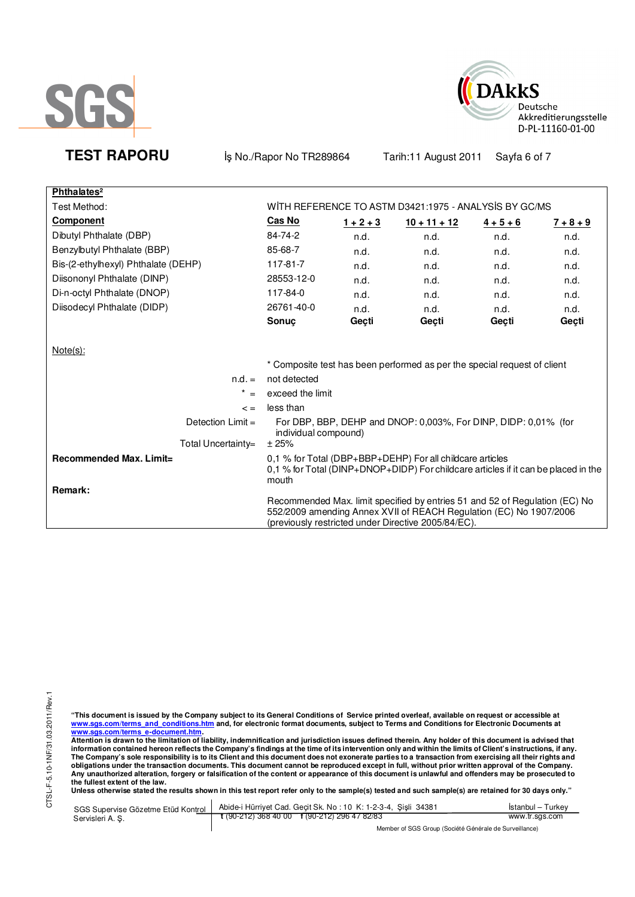



**TEST RAPORU** iş No./Rapor No TR289864 Tarih:11 August 2011 Sayfa 6 of 7

| Phthalates <sup>2</sup>             |                      |             |                                                                                                                                                                                                          |                   |             |
|-------------------------------------|----------------------|-------------|----------------------------------------------------------------------------------------------------------------------------------------------------------------------------------------------------------|-------------------|-------------|
| Test Method:                        |                      |             | WITH REFERENCE TO ASTM D3421:1975 - ANALYSIS BY GC/MS                                                                                                                                                    |                   |             |
| <b>Component</b>                    | <b>Cas No</b>        | $1 + 2 + 3$ | $10 + 11 + 12$                                                                                                                                                                                           | $\frac{4+5+6}{6}$ | $7 + 8 + 9$ |
| Dibutyl Phthalate (DBP)             | 84-74-2              | n.d.        | n.d.                                                                                                                                                                                                     | n.d.              | n.d.        |
| Benzylbutyl Phthalate (BBP)         | 85-68-7              | n.d.        | n.d.                                                                                                                                                                                                     | n.d.              | n.d.        |
| Bis-(2-ethylhexyl) Phthalate (DEHP) | 117-81-7             | n.d.        | n.d.                                                                                                                                                                                                     | n.d.              | n.d.        |
| Diisononyl Phthalate (DINP)         | 28553-12-0           | n.d.        | n.d.                                                                                                                                                                                                     | n.d.              | n.d.        |
| Di-n-octyl Phthalate (DNOP)         | 117-84-0             | n.d.        | n.d.                                                                                                                                                                                                     | n.d.              | n.d.        |
| Diisodecyl Phthalate (DIDP)         | 26761-40-0           | n.d.        | n.d.                                                                                                                                                                                                     | n.d.              | n.d.        |
|                                     | <b>Sonuc</b>         | Geçti       | Gecti                                                                                                                                                                                                    | Geçti             | Geçti       |
|                                     |                      |             |                                                                                                                                                                                                          |                   |             |
| $Note(s)$ :                         |                      |             |                                                                                                                                                                                                          |                   |             |
|                                     |                      |             | * Composite test has been performed as per the special request of client                                                                                                                                 |                   |             |
| $n.d. =$                            | not detected         |             |                                                                                                                                                                                                          |                   |             |
| *<br>$=$                            | exceed the limit     |             |                                                                                                                                                                                                          |                   |             |
| $\leq$ $=$                          | less than            |             |                                                                                                                                                                                                          |                   |             |
| Detection $Limit =$                 | individual compound) |             | For DBP, BBP, DEHP and DNOP: 0,003%, For DINP, DIDP: 0,01% (for                                                                                                                                          |                   |             |
| Total Uncertainty=                  | ± 25%                |             |                                                                                                                                                                                                          |                   |             |
| <b>Recommended Max. Limit=</b>      | mouth                |             | 0.1 % for Total (DBP+BBP+DEHP) For all childcare articles<br>0,1 % for Total (DINP+DNOP+DIDP) For childcare articles if it can be placed in the                                                          |                   |             |
| Remark:                             |                      |             | Recommended Max. limit specified by entries 51 and 52 of Regulation (EC) No<br>552/2009 amending Annex XVII of REACH Regulation (EC) No 1907/2006<br>(previously restricted under Directive 2005/84/EC). |                   |             |

"This document is issued by the Company subject to its General Conditions of Service printed overleaf, available on request or accessible at<br>www.sgs.com/terms\_and\_conditions.htm\_and, for electronic format documents, subjec

<u>www.sgs.com/terms\_e-document.htm.</u><br>Attention is drawn to the limitation of liability, indemnification and jurisdiction issues defined therein. Any holder of this document is advised that<br>information contained hereon refle obligations under the transaction documents. This document cannot be reproduced except in full, without prior written approval of the Company.<br>Any unauthorized alteration, forgery or falsification of the content or appeara

**Unless otherwise stated the results shown in this test report refer only to the sample(s) tested and such sample(s) are retained for 30 days only."** 

| SGS Supervise Gözetme Etüd Kontrol | Abide-i Hürriyet Cad. Gecit Sk. No: 10 K: 1-2-3-4, Sisli 34381 | Istanbul – Turkev |  |
|------------------------------------|----------------------------------------------------------------|-------------------|--|
| Servisleri A. S.                   | $\frac{1}{2}$ (90-212) 368 40 00 f (90-212) 296 47 82/83       | www.tr.sgs.com    |  |
|                                    | Member of SGS Group (Société Générale de Surveillance)         |                   |  |